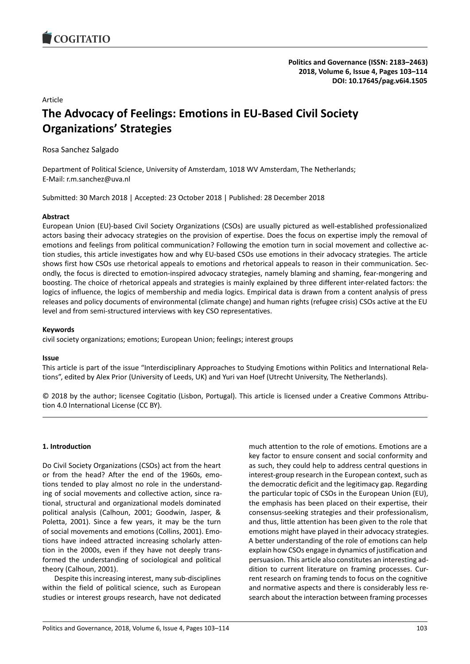

# Article

# **The Advocacy of Feelings: Emotions in EU-Based Civil Society Organizations' Strategies**

Rosa Sanchez Salgado

Department of Political Science, University of Amsterdam, 1018 WV Amsterdam, The Netherlands; E-Mail: r.m.sanchez@uva.nl

Submitted: 30 March 2018 | Accepted: 23 October 2018 | Published: 28 December 2018

# **Abstract**

European Union (EU)-based Civil Society Organizations (CSOs) are usually pictured as well-established professionalized actors basing their advocacy strategies on the provision of expertise. Does the focus on expertise imply the removal of emotions and feelings from political communication? Following the emotion turn in social movement and collective action studies, this article investigates how and why EU-based CSOs use emotions in their advocacy strategies. The article shows first how CSOs use rhetorical appeals to emotions and rhetorical appeals to reason in their communication. Secondly, the focus is directed to emotion-inspired advocacy strategies, namely blaming and shaming, fear-mongering and boosting. The choice of rhetorical appeals and strategies is mainly explained by three different inter-related factors: the logics of influence, the logics of membership and media logics. Empirical data is drawn from a content analysis of press releases and policy documents of environmental (climate change) and human rights (refugee crisis) CSOs active at the EU level and from semi-structured interviews with key CSO representatives.

# **Keywords**

civil society organizations; emotions; European Union; feelings; interest groups

## **Issue**

This article is part of the issue "Interdisciplinary Approaches to Studying Emotions within Politics and International Relations", edited by Alex Prior (University of Leeds, UK) and Yuri van Hoef (Utrecht University, The Netherlands).

© 2018 by the author; licensee Cogitatio (Lisbon, Portugal). This article is licensed under a Creative Commons Attribution 4.0 International License (CC BY).

# **1. Introduction**

Do Civil Society Organizations (CSOs) act from the heart or from the head? After the end of the 1960s, emotions tended to play almost no role in the understanding of social movements and collective action, since rational, structural and organizational models dominated political analysis (Calhoun, 2001; Goodwin, Jasper, & Poletta, 2001). Since a few years, it may be the turn of social movements and emotions (Collins, 2001). Emotions have indeed attracted increasing scholarly attention in the 2000s, even if they have not deeply transformed the understanding of sociological and political theory (Calhoun, 2001).

Despite this increasing interest, many sub-disciplines within the field of political science, such as European studies or interest groups research, have not dedicated much attention to the role of emotions. Emotions are a key factor to ensure consent and social conformity and as such, they could help to address central questions in interest-group research in the European context, such as the democratic deficit and the legitimacy gap. Regarding the particular topic of CSOs in the European Union (EU), the emphasis has been placed on their expertise, their consensus-seeking strategies and their professionalism, and thus, little attention has been given to the role that emotions might have played in their advocacy strategies. A better understanding of the role of emotions can help explain how CSOs engage in dynamics of justification and persuasion. This article also constitutes an interesting addition to current literature on framing processes. Current research on framing tends to focus on the cognitive and normative aspects and there is considerably less research about the interaction between framing processes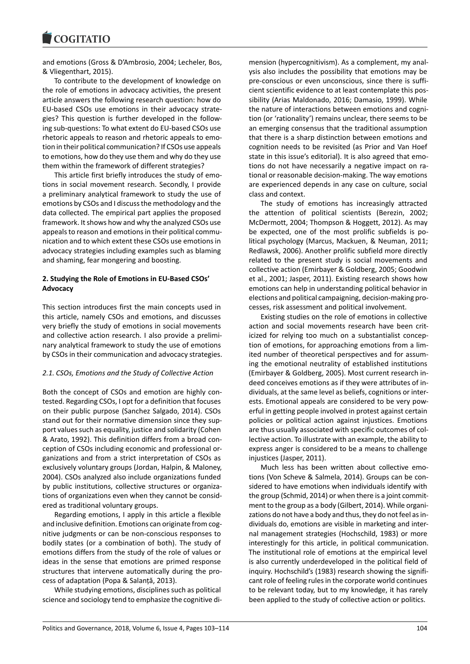#### COULTAIN

and emotions (Gross & D'Ambrosio, 2004; Lecheler, Bos, & Vliegenthart, 2015).

To contribute to the development of knowledge on the role of emotions in advocacy activities, the present article answers the following research question: how do EU-based CSOs use emotions in their advocacy strategies? This question is further developed in the following sub-questions: To what extent do EU-based CSOs use rhetoric appeals to reason and rhetoric appeals to emotion in their political communication? If CSOs use appeals to emotions, how do they use them and why do they use them within the framework of different strategies?

This article first briefly introduces the study of emotions in social movement research. Secondly, I provide a preliminary analytical framework to study the use of emotions by CSOs and I discuss the methodology and the data collected. The empirical part applies the proposed framework. It shows how and why the analyzed CSOs use appeals to reason and emotions in their political communication and to which extent these CSOs use emotions in advocacy strategies including examples such as blaming and shaming, fear mongering and boosting.

# **2. Studying the Role of Emotions in EU-Based CSOs' Advocacy**

This section introduces first the main concepts used in this article, namely CSOs and emotions, and discusses very briefly the study of emotions in social movements and collective action research. I also provide a preliminary analytical framework to study the use of emotions by CSOs in their communication and advocacy strategies.

# *2.1. CSOs, Emotions and the Study of Collective Action*

Both the concept of CSOs and emotion are highly contested. Regarding CSOs, I opt for a definition that focuses on their public purpose (Sanchez Salgado, 2014). CSOs stand out for their normative dimension since they support values such as equality, justice and solidarity (Cohen & Arato, 1992). This definition differs from a broad conception of CSOs including economic and professional organizations and from a strict interpretation of CSOs as exclusively voluntary groups (Jordan, Halpin, & Maloney, 2004). CSOs analyzed also include organizations funded by public institutions, collective structures or organizations of organizations even when they cannot be considered as traditional voluntary groups.

Regarding emotions, I apply in this article a flexible and inclusive definition. Emotions can originate from cognitive judgments or can be non-conscious responses to bodily states (or a combination of both). The study of emotions differs from the study of the role of values or ideas in the sense that emotions are primed response structures that intervene automatically during the process of adaptation (Popa & Salanţă, 2013).

While studying emotions, disciplines such as political science and sociology tend to emphasize the cognitive di-

mension (hypercognitivism). As a complement, my analysis also includes the possibility that emotions may be pre-conscious or even unconscious, since there is sufficient scientific evidence to at least contemplate this possibility (Arias Maldonado, 2016; Damasio, 1999). While the nature of interactions between emotions and cognition (or 'rationality') remains unclear, there seems to be an emerging consensus that the traditional assumption that there is a sharp distinction between emotions and cognition needs to be revisited (as Prior and Van Hoef state in this issue's editorial). It is also agreed that emotions do not have necessarily a negative impact on rational or reasonable decision-making. The way emotions are experienced depends in any case on culture, social class and context.

The study of emotions has increasingly attracted the attention of political scientists (Berezin, 2002; McDermott, 2004; Thompson & Hoggett, 2012). As may be expected, one of the most prolific subfields is political psychology (Marcus, Mackuen, & Neuman, 2011; Redlawsk, 2006). Another prolific subfield more directly related to the present study is social movements and collective action (Emirbayer & Goldberg, 2005; Goodwin et al., 2001; Jasper, 2011). Existing research shows how emotions can help in understanding political behavior in elections and political campaigning, decision-making processes, risk assessment and political involvement.

Existing studies on the role of emotions in collective action and social movements research have been criticized for relying too much on a substantialist conception of emotions, for approaching emotions from a limited number of theoretical perspectives and for assuming the emotional neutrality of established institutions (Emirbayer & Goldberg, 2005). Most current research indeed conceives emotions as if they were attributes of individuals, at the same level as beliefs, cognitions or interests. Emotional appeals are considered to be very powerful in getting people involved in protest against certain policies or political action against injustices. Emotions are thus usually associated with specific outcomes of collective action. To illustrate with an example, the ability to express anger is considered to be a means to challenge injustices (Jasper, 2011).

Much less has been written about collective emotions (Von Scheve & Salmela, 2014). Groups can be considered to have emotions when individuals identify with the group (Schmid, 2014) or when there is a joint commitment to the group as a body (Gilbert, 2014). While organizations do not have a body and thus, they do not feel as individuals do, emotions are visible in marketing and internal management strategies (Hochschild, 1983) or more interestingly for this article, in political communication. The institutional role of emotions at the empirical level is also currently underdeveloped in the political field of inquiry. Hochschild's (1983) research showing the significant role of feeling rules in the corporate world continues to be relevant today, but to my knowledge, it has rarely been applied to the study of collective action or politics.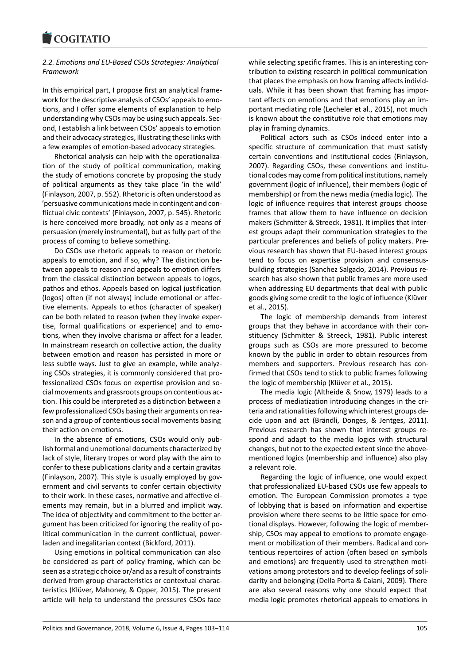# *2.2. Emotions and EU-Based CSOs Strategies: Analytical Framework*

In this empirical part, I propose first an analytical framework for the descriptive analysis of CSOs' appeals to emotions, and I offer some elements of explanation to help understanding why CSOs may be using such appeals. Second, I establish a link between CSOs' appeals to emotion and their advocacy strategies, illustrating these links with a few examples of emotion-based advocacy strategies.

Rhetorical analysis can help with the operationalization of the study of political communication, making the study of emotions concrete by proposing the study of political arguments as they take place 'in the wild' (Finlayson, 2007, p. 552). Rhetoric is often understood as 'persuasive communications made in contingent and conflictual civic contexts' (Finlayson, 2007, p. 545). Rhetoric is here conceived more broadly, not only as a means of persuasion (merely instrumental), but as fully part of the process of coming to believe something.

Do CSOs use rhetoric appeals to reason or rhetoric appeals to emotion, and if so, why? The distinction between appeals to reason and appeals to emotion differs from the classical distinction between appeals to logos, pathos and ethos. Appeals based on logical justification (logos) often (if not always) include emotional or affective elements. Appeals to ethos (character of speaker) can be both related to reason (when they invoke expertise, formal qualifications or experience) and to emotions, when they involve charisma or affect for a leader. In mainstream research on collective action, the duality between emotion and reason has persisted in more or less subtle ways. Just to give an example, while analyzing CSOs strategies, it is commonly considered that professionalized CSOs focus on expertise provision and social movements and grassroots groups on contentious action. This could be interpreted as a distinction between a few professionalized CSOs basing their arguments on reason and a group of contentious social movements basing their action on emotions.

In the absence of emotions, CSOs would only publish formal and unemotional documents characterized by lack of style, literary tropes or word play with the aim to confer to these publications clarity and a certain gravitas (Finlayson, 2007). This style is usually employed by government and civil servants to confer certain objectivity to their work. In these cases, normative and affective elements may remain, but in a blurred and implicit way. The idea of objectivity and commitment to the better argument has been criticized for ignoring the reality of political communication in the current conflictual, powerladen and inegalitarian context (Bickford, 2011).

Using emotions in political communication can also be considered as part of policy framing, which can be seen as a strategic choice or/and as a result of constraints derived from group characteristics or contextual characteristics (Klüver, Mahoney, & Opper, 2015). The present article will help to understand the pressures CSOs face

while selecting specific frames. This is an interesting contribution to existing research in political communication that places the emphasis on how framing affects individuals. While it has been shown that framing has important effects on emotions and that emotions play an important mediating role (Lecheler et al., 2015), not much is known about the constitutive role that emotions may play in framing dynamics.

Political actors such as CSOs indeed enter into a specific structure of communication that must satisfy certain conventions and institutional codes (Finlayson, 2007). Regarding CSOs, these conventions and institutional codes may come from political institutions, namely government (logic of influence), their members (logic of membership) or from the news media (media logic). The logic of influence requires that interest groups choose frames that allow them to have influence on decision makers (Schmitter & Streeck, 1981). It implies that interest groups adapt their communication strategies to the particular preferences and beliefs of policy makers. Previous research has shown that EU-based interest groups tend to focus on expertise provision and consensusbuilding strategies (Sanchez Salgado, 2014). Previous research has also shown that public frames are more used when addressing EU departments that deal with public goods giving some credit to the logic of influence (Klüver et al., 2015).

The logic of membership demands from interest groups that they behave in accordance with their constituency (Schmitter & Streeck, 1981). Public interest groups such as CSOs are more pressured to become known by the public in order to obtain resources from members and supporters. Previous research has confirmed that CSOs tend to stick to public frames following the logic of membership (Klüver et al., 2015).

The media logic (Altheide & Snow, 1979) leads to a process of mediatization introducing changes in the criteria and rationalities following which interest groups decide upon and act (Brändli, Donges, & Jentges, 2011). Previous research has shown that interest groups respond and adapt to the media logics with structural changes, but not to the expected extent since the abovementioned logics (membership and influence) also play a relevant role.

Regarding the logic of influence, one would expect that professionalized EU-based CSOs use few appeals to emotion. The European Commission promotes a type of lobbying that is based on information and expertise provision where there seems to be little space for emotional displays. However, following the logic of membership, CSOs may appeal to emotions to promote engagement or mobilization of their members. Radical and contentious repertoires of action (often based on symbols and emotions) are frequently used to strengthen motivations among protestors and to develop feelings of solidarity and belonging (Della Porta & Caiani, 2009). There are also several reasons why one should expect that media logic promotes rhetorical appeals to emotions in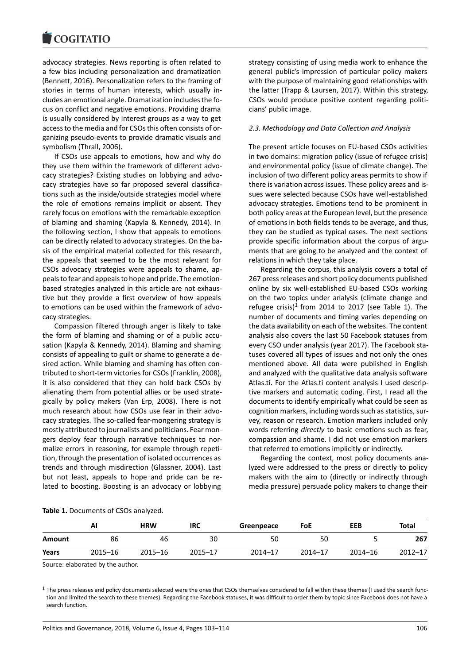advocacy strategies. News reporting is often related to a few bias including personalization and dramatization (Bennett, 2016). Personalization refers to the framing of stories in terms of human interests, which usually includes an emotional angle. Dramatization includes the focus on conflict and negative emotions. Providing drama is usually considered by interest groups as a way to get access to the media and for CSOs this often consists of organizing pseudo-events to provide dramatic visuals and symbolism (Thrall, 2006).

If CSOs use appeals to emotions, how and why do they use them within the framework of different advocacy strategies? Existing studies on lobbying and advocacy strategies have so far proposed several classifications such as the inside/outside strategies model where the role of emotions remains implicit or absent. They rarely focus on emotions with the remarkable exception of blaming and shaming (Kapyla & Kennedy, 2014). In the following section, I show that appeals to emotions can be directly related to advocacy strategies. On the basis of the empirical material collected for this research, the appeals that seemed to be the most relevant for CSOs advocacy strategies were appeals to shame, appeals to fear and appeals to hope and pride. The emotionbased strategies analyzed in this article are not exhaustive but they provide a first overview of how appeals to emotions can be used within the framework of advocacy strategies.

Compassion filtered through anger is likely to take the form of blaming and shaming or of a public accusation (Kapyla & Kennedy, 2014). Blaming and shaming consists of appealing to guilt or shame to generate a desired action. While blaming and shaming has often contributed to short-term victories for CSOs (Franklin, 2008), it is also considered that they can hold back CSOs by alienating them from potential allies or be used strategically by policy makers (Van Erp, 2008). There is not much research about how CSOs use fear in their advocacy strategies. The so-called fear-mongering strategy is mostly attributed to journalists and politicians. Fear mongers deploy fear through narrative techniques to normalize errors in reasoning, for example through repetition, through the presentation of isolated occurrences as trends and through misdirection (Glassner, 2004). Last but not least, appeals to hope and pride can be related to boosting. Boosting is an advocacy or lobbying

strategy consisting of using media work to enhance the general public's impression of particular policy makers with the purpose of maintaining good relationships with the latter (Trapp & Laursen, 2017). Within this strategy, CSOs would produce positive content regarding politicians' public image.

## *2.3. Methodology and Data Collection and Analysis*

The present article focuses on EU-based CSOs activities in two domains: migration policy (issue of refugee crisis) and environmental policy (issue of climate change). The inclusion of two different policy areas permits to show if there is variation across issues. These policy areas and issues were selected because CSOs have well-established advocacy strategies. Emotions tend to be prominent in both policy areas at the European level, but the presence of emotions in both fields tends to be average, and thus, they can be studied as typical cases. The next sections provide specific information about the corpus of arguments that are going to be analyzed and the context of relations in which they take place.

Regarding the corpus, this analysis covers a total of 267 press releases and short policy documents published online by six well-established EU-based CSOs working on the two topics under analysis (climate change and refugee crisis)<sup>1</sup> from 2014 to 2017 (see Table 1). The number of documents and timing varies depending on the data availability on each of the websites. The content analysis also covers the last 50 Facebook statuses from every CSO under analysis (year 2017). The Facebook statuses covered all types of issues and not only the ones mentioned above. All data were published in English and analyzed with the qualitative data analysis software Atlas.ti. For the Atlas.ti content analysis I used descriptive markers and automatic coding. First, I read all the documents to identify empirically what could be seen as cognition markers, including words such as statistics, survey, reason or research. Emotion markers included only words referring *directly* to basic emotions such as fear, compassion and shame. I did not use emotion markers that referred to emotions implicitly or indirectly.

Regarding the context, most policy documents analyzed were addressed to the press or directly to policy makers with the aim to (directly or indirectly through media pressure) persuade policy makers to change their

| Table 1. Documents of CSOs analyzed. |  |
|--------------------------------------|--|
|--------------------------------------|--|

|        | Al          | <b>HRW</b>  | <b>IRC</b>  | Greenpeace  | FoE         | EEB         | Total       |
|--------|-------------|-------------|-------------|-------------|-------------|-------------|-------------|
| Amount | 86          | 46          | 30          | 50          | 50          |             | 267         |
| Years  | $2015 - 16$ | $2015 - 16$ | $2015 - 17$ | $2014 - 17$ | $2014 - 17$ | $2014 - 16$ | $2012 - 17$ |

Source: elaborated by the author.

 $<sup>1</sup>$  The press releases and policy documents selected were the ones that CSOs themselves considered to fall within these themes (I used the search func-</sup> tion and limited the search to these themes). Regarding the Facebook statuses, it was difficult to order them by topic since Facebook does not have a search function.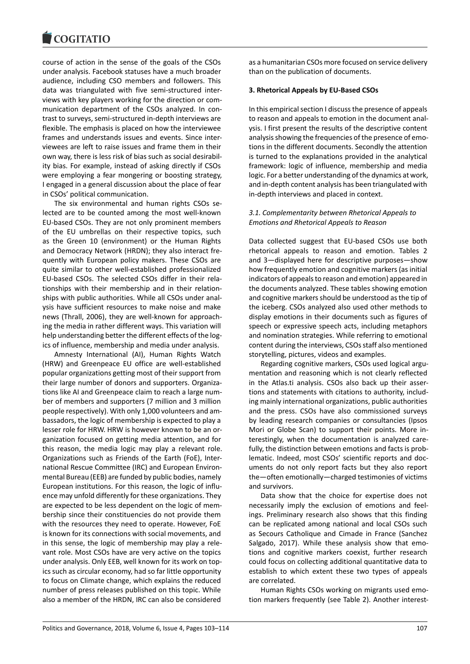#### COQUIATIO

course of action in the sense of the goals of the CSOs under analysis. Facebook statuses have a much broader audience, including CSO members and followers. This data was triangulated with five semi-structured interviews with key players working for the direction or communication department of the CSOs analyzed. In contrast to surveys, semi-structured in-depth interviews are flexible. The emphasis is placed on how the interviewee frames and understands issues and events. Since interviewees are left to raise issues and frame them in their own way, there is less risk of bias such as social desirability bias. For example, instead of asking directly if CSOs were employing a fear mongering or boosting strategy, I engaged in a general discussion about the place of fear in CSOs' political communication.

The six environmental and human rights CSOs selected are to be counted among the most well-known EU-based CSOs. They are not only prominent members of the EU umbrellas on their respective topics, such as the Green 10 (environment) or the Human Rights and Democracy Network (HRDN); they also interact frequently with European policy makers. These CSOs are quite similar to other well-established professionalized EU-based CSOs. The selected CSOs differ in their relationships with their membership and in their relationships with public authorities. While all CSOs under analysis have sufficient resources to make noise and make news (Thrall, 2006), they are well-known for approaching the media in rather different ways. This variation will help understanding better the different effects of the logics of influence, membership and media under analysis.

Amnesty International (AI), Human Rights Watch (HRW) and Greenpeace EU office are well-established popular organizations getting most of their support from their large number of donors and supporters. Organizations like AI and Greenpeace claim to reach a large number of members and supporters (7 million and 3 million people respectively). With only 1,000 volunteers and ambassadors, the logic of membership is expected to play a lesser role for HRW. HRW is however known to be an organization focused on getting media attention, and for this reason, the media logic may play a relevant role. Organizations such as Friends of the Earth (FoE), International Rescue Committee (IRC) and European Environmental Bureau (EEB) are funded by public bodies, namely European institutions. For this reason, the logic of influence may unfold differently for these organizations. They are expected to be less dependent on the logic of membership since their constituencies do not provide them with the resources they need to operate. However, FoE is known for its connections with social movements, and in this sense, the logic of membership may play a relevant role. Most CSOs have are very active on the topics under analysis. Only EEB, well known for its work on topics such as circular economy, had so far little opportunity to focus on Climate change, which explains the reduced number of press releases published on this topic. While also a member of the HRDN, IRC can also be considered

as a humanitarian CSOs more focused on service delivery than on the publication of documents.

## **3. Rhetorical Appeals by EU-Based CSOs**

In this empirical section I discuss the presence of appeals to reason and appeals to emotion in the document analysis. I first present the results of the descriptive content analysis showing the frequencies of the presence of emotions in the different documents. Secondly the attention is turned to the explanations provided in the analytical framework: logic of influence, membership and media logic. For a better understanding of the dynamics at work, and in-depth content analysis has been triangulated with in-depth interviews and placed in context.

# *3.1. Complementarity between Rhetorical Appeals to Emotions and Rhetorical Appeals to Reason*

Data collected suggest that EU-based CSOs use both rhetorical appeals to reason and emotion. Tables 2 and 3—displayed here for descriptive purposes—show how frequently emotion and cognitive markers (as initial indicators of appeals to reason and emotion) appeared in the documents analyzed. These tables showing emotion and cognitive markers should be understood as the tip of the iceberg. CSOs analyzed also used other methods to display emotions in their documents such as figures of speech or expressive speech acts, including metaphors and nomination strategies. While referring to emotional content during the interviews, CSOs staff also mentioned storytelling, pictures, videos and examples.

Regarding cognitive markers, CSOs used logical argumentation and reasoning which is not clearly reflected in the Atlas.ti analysis. CSOs also back up their assertions and statements with citations to authority, including mainly international organizations, public authorities and the press. CSOs have also commissioned surveys by leading research companies or consultancies (Ipsos Mori or Globe Scan) to support their points. More interestingly, when the documentation is analyzed carefully, the distinction between emotions and facts is problematic. Indeed, most CSOs' scientific reports and documents do not only report facts but they also report the—often emotionally—charged testimonies of victims and survivors.

Data show that the choice for expertise does not necessarily imply the exclusion of emotions and feelings. Preliminary research also shows that this finding can be replicated among national and local CSOs such as Secours Catholique and Cimade in France (Sanchez Salgado, 2017). While these analysis show that emotions and cognitive markers coexist, further research could focus on collecting additional quantitative data to establish to which extent these two types of appeals are correlated.

Human Rights CSOs working on migrants used emotion markers frequently (see Table 2). Another interest-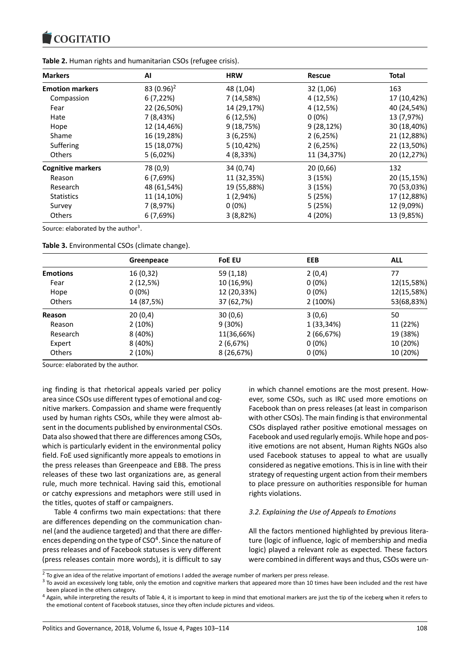**Table 2.** Human rights and humanitarian CSOs (refugee crisis).

| <b>Markers</b>           | AI            | <b>HRW</b>  | <b>Rescue</b> | <b>Total</b> |
|--------------------------|---------------|-------------|---------------|--------------|
| <b>Emotion markers</b>   | 83 $(0.96)^2$ | 48 (1,04)   | 32(1,06)      | 163          |
| Compassion               | 6(7,22%)      | 7 (14,58%)  | 4 (12,5%)     | 17 (10,42%)  |
| Fear                     | 22 (26,50%)   | 14 (29,17%) | 4 (12,5%)     | 40 (24,54%)  |
| Hate                     | 7 (8,43%)     | 6(12,5%)    | $0(0\%)$      | 13 (7,97%)   |
| Hope                     | 12 (14,46%)   | 9(18,75%)   | $9(28, 12\%)$ | 30 (18,40%)  |
| Shame                    | 16 (19,28%)   | 3(6,25%)    | 2(6,25%)      | 21 (12,88%)  |
| Suffering                | 15 (18,07%)   | 5(10, 42%)  | 2(6,25%)      | 22 (13,50%)  |
| <b>Others</b>            | 5(6,02%)      | 4 (8,33%)   | 11 (34,37%)   | 20 (12,27%)  |
| <b>Cognitive markers</b> | 78 (0,9)      | 34 (0,74)   | 20(0,66)      | 132          |
| Reason                   | 6(7,69%)      | 11 (32,35%) | 3(15%)        | 20 (15,15%)  |
| Research                 | 48 (61,54%)   | 19 (55,88%) | 3(15%)        | 70 (53,03%)  |
| <b>Statistics</b>        | 11 (14,10%)   | 1 (2,94%)   | 5(25%)        | 17 (12,88%)  |
| Survey                   | 7 (8,97%)     | $0(0\%)$    | 5(25%)        | 12 (9,09%)   |
| <b>Others</b>            | 6(7,69%)      | 3(8,82%)    | 4 (20%)       | 13 (9,85%)   |

Source: elaborated by the author<sup>3</sup>.

**Table 3.** Environmental CSOs (climate change).

|                 | Greenpeace | <b>FoE EU</b> | EEB        | <b>ALL</b> |
|-----------------|------------|---------------|------------|------------|
| <b>Emotions</b> | 16 (0,32)  | 59 (1,18)     | 2(0,4)     | 77         |
| Fear            | 2(12,5%)   | 10 (16,9%)    | $0(0\%)$   | 12(15,58%) |
| Hope            | $0(0\%)$   | 12 (20,33%)   | $0(0\%)$   | 12(15,58%) |
| <b>Others</b>   | 14 (87,5%) | 37 (62,7%)    | 2(100%)    | 53(68,83%) |
| Reason          | 20(0,4)    | 30(0,6)       | 3(0,6)     | 50         |
| Reason          | 2(10%)     | $9(30\%)$     | 1 (33,34%) | 11 (22%)   |
| Research        | 8 (40%)    | 11(36,66%)    | 2(66,67%)  | 19 (38%)   |
| Expert          | 8 (40%)    | 2(6,67%)      | $0(0\%)$   | 10 (20%)   |
| Others          | 2 (10%)    | 8 (26,67%)    | $0(0\%)$   | 10 (20%)   |

Source: elaborated by the author.

ing finding is that rhetorical appeals varied per policy area since CSOs use different types of emotional and cognitive markers. Compassion and shame were frequently used by human rights CSOs, while they were almost absent in the documents published by environmental CSOs. Data also showed that there are differences among CSOs, which is particularly evident in the environmental policy field. FoE used significantly more appeals to emotions in the press releases than Greenpeace and EBB. The press releases of these two last organizations are, as general rule, much more technical. Having said this, emotional or catchy expressions and metaphors were still used in the titles, quotes of staff or campaigners.

Table 4 confirms two main expectations: that there are differences depending on the communication channel (and the audience targeted) and that there are differen[c](#page-5-0)[e](#page-5-1)s depending on the type of CSO<sup>4</sup>. Since the nature of press releases and of Facebook statuses is very different (press releases contain more words), it is difficult to say in which channel emotions are the most present. However, some CSOs, such as IRC used more emotions on Facebook than on press releases (at least in comparison with other CSOs). The main finding is that environmental CSOs displayed rather positive emotional messages on Facebook and used regularly emojis. While hope and positive emotions are not absent, Human Rights NGOs also used Facebook statuses to appeal to what are usually considered as negative emotions. This is in line with their strategy of requesting urgent action from their members to place pressure on authorities responsible for human rights violations.

# *3.2. Explaining the Use of Appeals to Emotions*

All the factors mentioned highlighted by previous literature (logic of influence, logic of membership and media logic) played a relevant role as expected. These factors were combined in different ways and thus, CSOs were un-

 $2$  To give an idea of the relative important of [e](#page-5-2)motions I added the average number of markers per press release.

 $3$  To avoid an excessively long table, only the emotion and cognitive markers that appeared more than 10 times have been included and the rest have been placed in the others category.

<span id="page-5-2"></span><span id="page-5-1"></span><span id="page-5-0"></span> $4$  Again, while interpreting the results of Table 4, it is important to keep in mind that emotional markers are just the tip of the iceberg when it refers to the emotional content of Facebook statuses, since they often include pictures and videos.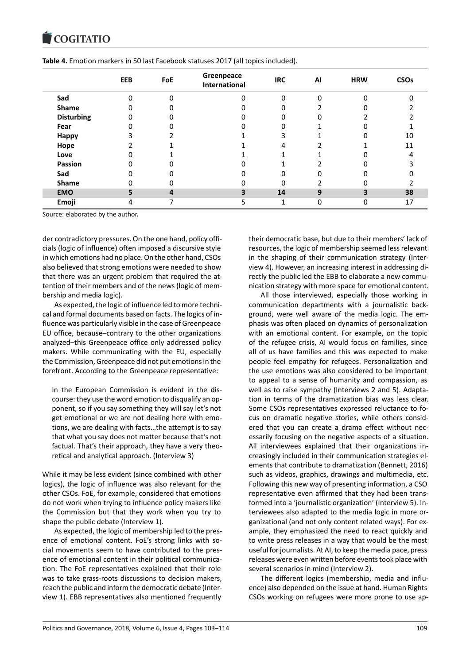|                   | EEB      | FoE      | Greenpeace<br><b>International</b> | <b>IRC</b> | AI | <b>HRW</b> | <b>CSOs</b> |
|-------------------|----------|----------|------------------------------------|------------|----|------------|-------------|
| Sad               | $\Omega$ | $\Omega$ | 0                                  | $\Omega$   | 0  | $\Omega$   |             |
| Shame             |          |          |                                    |            |    |            |             |
| <b>Disturbing</b> |          |          |                                    |            |    |            |             |
| Fear              |          |          |                                    |            |    |            |             |
| Happy             |          |          |                                    | 3          |    |            | 10          |
| Hope              |          |          |                                    | 4          |    |            | 11          |
| Love              |          |          |                                    |            |    |            |             |
| Passion           |          |          |                                    |            |    |            |             |
| Sad               |          |          |                                    |            |    |            |             |
| <b>Shame</b>      |          | 0        |                                    | 0          |    | ი          |             |
| <b>EMO</b>        | 5        | 4        | 3                                  | 14         | 9  | 3          | 38          |
| Emoji             | 4        |          | 5                                  | 1          | 0  | 0          | 17          |

**Table 4.** Emotion markers in 50 last Facebook statuses 2017 (all topics included).

Source: elaborated by the author.

der contradictory pressures. On the one hand, policy officials (logic of influence) often imposed a discursive style in which emotions had no place. On the other hand, CSOs also believed that strong emotions were needed to show that there was an urgent problem that required the attention of their members and of the news (logic of membership and media logic).

As expected, the logic of influence led to more technical and formal documents based on facts. The logics of influence was particularly visible in the case of Greenpeace EU office, because–contrary to the other organizations analyzed–this Greenpeace office only addressed policy makers. While communicating with the EU, especially the Commission, Greenpeace did not put emotions in the forefront. According to the Greenpeace representative:

In the European Commission is evident in the discourse: they use the word emotion to disqualify an opponent, so if you say something they will say let's not get emotional or we are not dealing here with emotions, we are dealing with facts…the attempt is to say that what you say does not matter because that's not factual. That's their approach, they have a very theoretical and analytical approach. (Interview 3)

While it may be less evident (since combined with other logics), the logic of influence was also relevant for the other CSOs. FoE, for example, considered that emotions do not work when trying to influence policy makers like the Commission but that they work when you try to shape the public debate (Interview 1).

As expected, the logic of membership led to the presence of emotional content. FoE's strong links with social movements seem to have contributed to the presence of emotional content in their political communication. The FoE representatives explained that their role was to take grass-roots discussions to decision makers, reach the public and inform the democratic debate (Interview 1). EBB representatives also mentioned frequently

their democratic base, but due to their members' lack of resources, the logic of membership seemed less relevant in the shaping of their communication strategy (Interview 4). However, an increasing interest in addressing directly the public led the EBB to elaborate a new communication strategy with more space for emotional content.

All those interviewed, especially those working in communication departments with a journalistic background, were well aware of the media logic. The emphasis was often placed on dynamics of personalization with an emotional content. For example, on the topic of the refugee crisis, AI would focus on families, since all of us have families and this was expected to make people feel empathy for refugees. Personalization and the use emotions was also considered to be important to appeal to a sense of humanity and compassion, as well as to raise sympathy (Interviews 2 and 5). Adaptation in terms of the dramatization bias was less clear. Some CSOs representatives expressed reluctance to focus on dramatic negative stories, while others considered that you can create a drama effect without necessarily focusing on the negative aspects of a situation. All interviewees explained that their organizations increasingly included in their communication strategies elements that contribute to dramatization (Bennett, 2016) such as videos, graphics, drawings and multimedia, etc. Following this new way of presenting information, a CSO representative even affirmed that they had been transformed into a 'journalistic organization' (Interview 5). Interviewees also adapted to the media logic in more organizational (and not only content related ways). For example, they emphasized the need to react quickly and to write press releases in a way that would be the most useful for journalists. At AI, to keep the media pace, press releases were even written before events took place with several scenarios in mind (Interview 2).

The different logics (membership, media and influence) also depended on the issue at hand. Human Rights CSOs working on refugees were more prone to use ap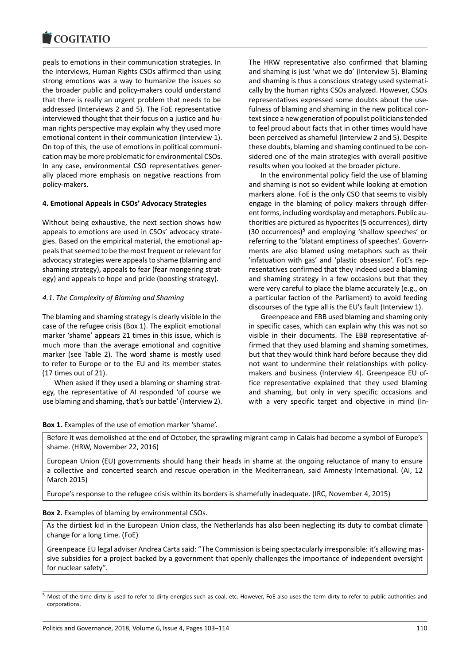peals to emotions in their communication strategies. In the interviews, Human Rights CSOs affirmed than using strong emotions was a way to humanize the issues so the broader public and policy-makers could understand that there is really an urgent problem that needs to be addressed (Interviews 2 and 5). The FoE representative interviewed thought that their focus on a justice and human rights perspective may explain why they used more emotional content in their communication (Interview 1). On top of this, the use of emotions in political communication may be more problematic for environmental CSOs. In any case, environmental CSO representatives generally placed more emphasis on negative reactions from policy-makers.

## **4. Emotional Appeals in CSOs' Advocacy Strategies**

Without being exhaustive, the next section shows how appeals to emotions are used in CSOs' advocacy strategies. Based on the empirical material, the emotional appeals that seemed to be the most frequent or relevant for advocacy strategies were appeals to shame (blaming and shaming strategy), appeals to fear (fear mongering strategy) and appeals to hope and pride (boosting strategy).

## *4.1. The Complexity of Blaming and Shaming*

The blaming and shaming strategy is clearly visible in the case of the refugee crisis (Box 1). The explicit emotional marker 'shame' appears 21 times in this issue, which is much more than the average emotional and cognitive marker (see Table 2). The word shame is mostly used to refer to Europe or to the EU and its member states (17 times out of 21).

When asked if they used a blaming or shaming strategy, the representative of AI responded 'of course we use blaming and shaming, that's our battle' (Interview 2). The HRW representative also confirmed that blaming and shaming is just 'what we do' (Interview 5). Blaming and shaming is thus a conscious strategy used systematically by the human rights CSOs analyzed. However, CSOs representatives expressed some doubts about the usefulness of blaming and shaming in the new political context since a new generation of populist politicians tended to feel proud about facts that in other times would have been perceived as shameful (Interview 2 and 5). Despite these doubts, blaming and shaming continued to be considered one of the main strategies with overall positive results when you looked at the broader picture.

In the environmental policy field the use of blaming and shaming is not so evident while looking at emotion markers alone. FoE is the only CSO that seems to visibly engage in the blaming of policy makers through different forms, including wordsplay and metaphors. Public authorities are pictured as hypocrites (5 occurrences), dirty (30 occurrences)<sup>5</sup> and employing 'shallow speeches' or referring to the 'blatant emptiness of speeches'. Governments are also blamed using metaphors such as their 'infatuation with gas' and 'plastic obsession'. FoE's representatives confirmed that they indeed used a blaming and shaming strategy in a few occasions but that they were very careful to place the blame accurately (e.g., on a particular faction of the Parliament) to avoid feeding discourses of the type all is the EU's fault (Interview 1).

Greenpeace and EBB used blaming and shaming only in specific cases, which can explain why this was not so visible in their documents. The EBB representative affirmed that they used blaming and shaming sometimes, but that they would think hard before because they did not want to undermine their relationships with policymakers and business (Interview 4). Greenpeace EU office representative explained that they used blaming and shaming, but only in very specific occasions and with a very specific target and objective in mind (In-

## **Box 1.** Examples of the use of emotion marker 'shame'.

Before it was demolished at the end of October, the sprawling migrant camp in Calais had become a symbol of Europe's shame. (HRW, November 22, 2016)

European Union (EU) governments should hang their heads in shame at the ongoing reluctance of many to ensure a collective and concerted search and rescue operation in the Mediterranean, said Amnesty International. (AI, 12 March 2015)

Europe's response to the refugee crisis within its borders is shamefully inadequate. (IRC, November 4, 2015)

### **Box 2.** Examples of blaming by environmental CSOs.

As the dirtiest kid in the European Union class, the Netherlands has also been neglecting its duty to combat climate change for a long time. (FoE)

Greenpeace EU legal adviser Andrea Carta said: "The Commission is being spectacularly irresponsible: it's allowing massive subsidies for a project backed by a government that openly challenges the importance of independent oversight for nuclear safety".

<sup>&</sup>lt;sup>5</sup> Most of the time dirty is used to refer to dirty energies such as coal, etc. However, FoE also uses the term dirty to refer to public authorities and corporations.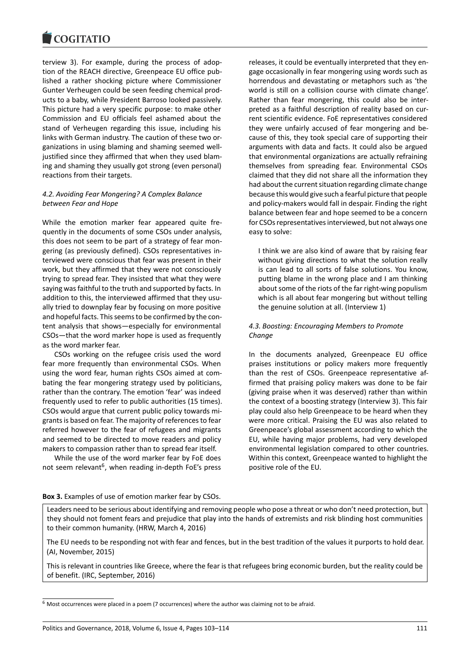terview 3). For example, during the process of adoption of the REACH directive, Greenpeace EU office published a rather shocking picture where Commissioner Gunter Verheugen could be seen feeding chemical products to a baby, while President Barroso looked passively. This picture had a very specific purpose: to make other Commission and EU officials feel ashamed about the stand of Verheugen regarding this issue, including his links with German industry. The caution of these two organizations in using blaming and shaming seemed welljustified since they affirmed that when they used blaming and shaming they usually got strong (even personal) reactions from their targets.

# *4.2. Avoiding Fear Mongering? A Complex Balance between Fear and Hope*

While the emotion marker fear appeared quite frequently in the documents of some CSOs under analysis, this does not seem to be part of a strategy of fear mongering (as previously defined). CSOs representatives interviewed were conscious that fear was present in their work, but they affirmed that they were not consciously trying to spread fear. They insisted that what they were saying was faithful to the truth and supported by facts. In addition to this, the interviewed affirmed that they usually tried to downplay fear by focusing on more positive and hopeful facts. This seems to be confirmed by the content analysis that shows—especially for environmental CSOs—that the word marker hope is used as frequently as the word marker fear.

CSOs working on the refugee crisis used the word fear more frequently than environmental CSOs. When using the word fear, human rights CSOs aimed at combating the fear mongering strategy used by politicians, rather than the contrary. The emotion 'fear' was indeed frequently used to refer to public authorities (15 times). CSOs would argue that current public policy towards migrants is based on fear. The majority of references to fear referred however to the fear of refugees and migrants and seemed to be directed to move readers and policy makers to compassion rather than to spread fear itself.

While the use of the word marker fear by FoE does not seem relevant<sup>6</sup>, when reading in-depth FoE's press

releases, it could be eventually interpreted that they engage occasionally in fear mongering using words such as horrendous and devastating or metaphors such as 'the world is still on a collision course with climate change'. Rather than fear mongering, this could also be interpreted as a faithful description of reality based on current scientific evidence. FoE representatives considered they were unfairly accused of fear mongering and because of this, they took special care of supporting their arguments with data and facts. It could also be argued that environmental organizations are actually refraining themselves from spreading fear. Environmental CSOs claimed that they did not share all the information they had about the current situation regarding climate change because this would give such a fearful picture that people and policy-makers would fall in despair. Finding the right balance between fear and hope seemed to be a concern for CSOs representatives interviewed, but not always one easy to solve:

I think we are also kind of aware that by raising fear without giving directions to what the solution really is can lead to all sorts of false solutions. You know, putting blame in the wrong place and I am thinking about some of the riots of the far right-wing populism which is all about fear mongering but without telling the genuine solution at all. (Interview 1)

# *4.3. Boosting: Encouraging Members to Promote Change*

In the documents analyzed, Greenpeace EU office praises institutions or policy makers more frequently than the rest of CSOs. Greenpeace representative affirmed that praising policy makers was done to be fair (giving praise when it was deserved) rather than within the context of a boosting strategy (Interview 3). This fair play could also help Greenpeace to be heard when they were more critical. Praising the EU was also related to Greenpeace's global assessment according to which the EU, while having major problems, had very developed environmental legislation compared to other countries. Within this context, Greenpeace wanted to highlight the positive role of the EU.

## **Box 3.** Examples of use of emotion marker fear by CSOs.

Leaders need to be serious about identifying and removing people who pose a threat or who don't need protection, but they should not foment fears and prejudice that play into the hands of extremists and risk blinding host communities to their common humanity. (HRW, March 4, 2016)

The EU needs to be responding not with fear and fences, but in the best tradition of the values it purports to hold dear. (AI, November, 2015)

This is relevant in countries like Greece, where the fear is that refugees bring economic burden, but the reality could be of benefit. (IRC, September, 2016)

<sup>6</sup> Most occurrences were placed in a poem (7 occurrences) where the author was claiming not to be afraid.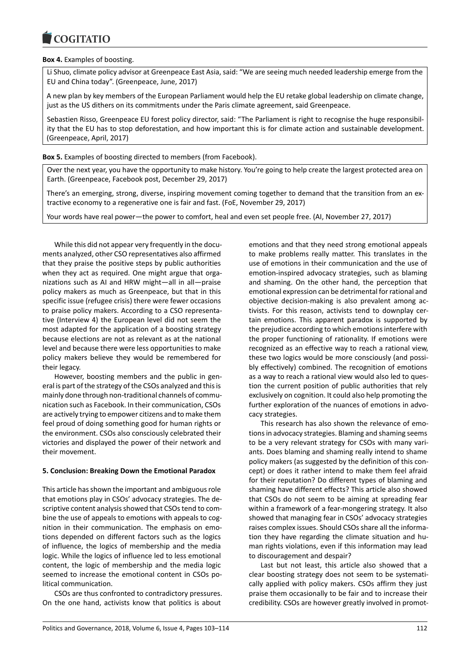# **Box 4.** Examples of boosting.

Li Shuo, climate policy advisor at Greenpeace East Asia, said: "We are seeing much needed leadership emerge from the EU and China today". (Greenpeace, June, 2017)

A new plan by key members of the European Parliament would help the EU retake global leadership on climate change, just as the US dithers on its commitments under the Paris climate agreement, said Greenpeace.

Sebastien Risso, Greenpeace EU forest policy director, said: "The Parliament is right to recognise the huge responsibility that the EU has to stop deforestation, and how important this is for climate action and sustainable development. (Greenpeace, April, 2017)

**Box 5.** Examples of boosting directed to members (from Facebook).

Over the next year, you have the opportunity to make history. You're going to help create the largest protected area on Earth. (Greenpeace, Facebook post, December 29, 2017)

There's an emerging, strong, diverse, inspiring movement coming together to demand that the transition from an extractive economy to a regenerative one is fair and fast. (FoE, November 29, 2017)

Your words have real power—the power to comfort, heal and even set people free. (AI, November 27, 2017)

While this did not appear very frequently in the documents analyzed, other CSO representatives also affirmed that they praise the positive steps by public authorities when they act as required. One might argue that organizations such as AI and HRW might—all in all—praise policy makers as much as Greenpeace, but that in this specific issue (refugee crisis) there were fewer occasions to praise policy makers. According to a CSO representative (Interview 4) the European level did not seem the most adapted for the application of a boosting strategy because elections are not as relevant as at the national level and because there were less opportunities to make policy makers believe they would be remembered for their legacy.

However, boosting members and the public in general is part of the strategy of the CSOs analyzed and this is mainly done through non-traditional channels of communication such as Facebook. In their communication, CSOs are actively trying to empower citizens and to make them feel proud of doing something good for human rights or the environment. CSOs also consciously celebrated their victories and displayed the power of their network and their movement.

# **5. Conclusion: Breaking Down the Emotional Paradox**

This article has shown the important and ambiguous role that emotions play in CSOs' advocacy strategies. The descriptive content analysis showed that CSOs tend to combine the use of appeals to emotions with appeals to cognition in their communication. The emphasis on emotions depended on different factors such as the logics of influence, the logics of membership and the media logic. While the logics of influence led to less emotional content, the logic of membership and the media logic seemed to increase the emotional content in CSOs political communication.

CSOs are thus confronted to contradictory pressures. On the one hand, activists know that politics is about emotions and that they need strong emotional appeals to make problems really matter. This translates in the use of emotions in their communication and the use of emotion-inspired advocacy strategies, such as blaming and shaming. On the other hand, the perception that emotional expression can be detrimental for rational and objective decision-making is also prevalent among activists. For this reason, activists tend to downplay certain emotions. This apparent paradox is supported by the prejudice according to which emotions interfere with the proper functioning of rationality. If emotions were recognized as an effective way to reach a rational view, these two logics would be more consciously (and possibly effectively) combined. The recognition of emotions as a way to reach a rational view would also led to question the current position of public authorities that rely exclusively on cognition. It could also help promoting the further exploration of the nuances of emotions in advocacy strategies.

This research has also shown the relevance of emotions in advocacy strategies. Blaming and shaming seems to be a very relevant strategy for CSOs with many variants. Does blaming and shaming really intend to shame policy makers (as suggested by the definition of this concept) or does it rather intend to make them feel afraid for their reputation? Do different types of blaming and shaming have different effects? This article also showed that CSOs do not seem to be aiming at spreading fear within a framework of a fear-mongering strategy. It also showed that managing fear in CSOs' advocacy strategies raises complex issues. Should CSOs share all the information they have regarding the climate situation and human rights violations, even if this information may lead to discouragement and despair?

Last but not least, this article also showed that a clear boosting strategy does not seem to be systematically applied with policy makers. CSOs affirm they just praise them occasionally to be fair and to increase their credibility. CSOs are however greatly involved in promot-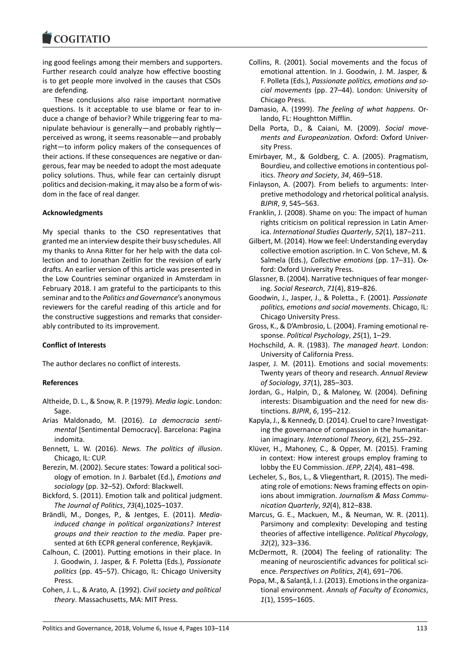ing good feelings among their members and supporters. Further research could analyze how effective boosting is to get people more involved in the causes that CSOs are defending.

These conclusions also raise important normative questions. Is it acceptable to use blame or fear to induce a change of behavior? While triggering fear to manipulate behaviour is generally—and probably rightly perceived as wrong, it seems reasonable—and probably right—to inform policy makers of the consequences of their actions. If these consequences are negative or dangerous, fear may be needed to adopt the most adequate policy solutions. Thus, while fear can certainly disrupt politics and decision-making, it may also be a form of wisdom in the face of real danger.

# **Acknowledgments**

My special thanks to the CSO representatives that granted me an interview despite their busy schedules. All my thanks to Anna Ritter for her help with the data collection and to Jonathan Zeitlin for the revision of early drafts. An earlier version of this article was presented in the Low Countries seminar organized in Amsterdam in February 2018. I am grateful to the participants to this seminar and to the *Politics and Governance*'s anonymous reviewers for the careful reading of this article and for the constructive suggestions and remarks that considerably contributed to its improvement.

# **Conflict of Interests**

The author declares no conflict of interests.

# **References**

- Altheide, D. L., & Snow, R. P. (1979). *Media logic*. London: Sage.
- Arias Maldonado, M. (2016). *La democracia sentimental* [Sentimental Democracy]. Barcelona: Pagina indomita.
- Bennett, L. W. (2016). *News. The politics of illusion*. Chicago, IL: CUP.
- Berezin, M. (2002). Secure states: Toward a political sociology of emotion. In J. Barbalet (Ed.), *Emotions and sociology* (pp. 32–52). Oxford: Blackwell.
- Bickford, S. (2011). Emotion talk and political judgment. *The Journal of Politics*, *73*(4),1025–1037.
- Brändli, M., Donges, P., & Jentges, E. (2011). *Mediainduced change in political organizations? Interest groups and their reaction to the media*. Paper presented at 6th ECPR general conference, Reykjavik.
- Calhoun, C. (2001). Putting emotions in their place. In J. Goodwin, J. Jasper, & F. Poletta (Eds.), *Passionate politics* (pp. 45–57). Chicago, IL: Chicago University Press.
- Cohen, J. L., & Arato, A. (1992). *Civil society and political theory*. Massachusetts, MA: MIT Press.
- Collins, R. (2001). Social movements and the focus of emotional attention. In J. Goodwin, J. M. Jasper, & F. Polleta (Eds.), *Passionate politics, emotions and social movements* (pp. 27–44). London: University of Chicago Press.
- Damasio, A. (1999). *The feeling of what happens*. Orlando, FL: Houghtton Mifflin.
- Della Porta, D., & Caiani, M. (2009). *Social movements and Europeanization*. Oxford: Oxford University Press.
- Emirbayer, M., & Goldberg, C. A. (2005). Pragmatism, Bourdieu, and collective emotions in contentious politics. *Theory and Society*, *34*, 469–518.
- Finlayson, A. (2007). From beliefs to arguments: Interpretive methodology and rhetorical political analysis. *BJPIR*, *9*, 545–563.
- Franklin, J. (2008). Shame on you: The impact of human rights criticism on political repression in Latin America. *International Studies Quarterly*, *52*(1), 187–211.
- Gilbert, M. (2014). How we feel: Understanding everyday collective emotion ascription. In C. Von Scheve, M. & Salmela (Eds.), *Collective emotions* (pp. 17–31). Oxford: Oxford University Press.
- Glassner, B. (2004). Narrative techniques of fear mongering. *Social Research*, *71*(4), 819–826.
- Goodwin, J., Jasper, J., & Poletta., F. (2001). *Passionate politics, emotions and social movements*. Chicago, IL: Chicago University Press.
- Gross, K., & D'Ambrosio, L. (2004). Framing emotional response. *Political Psychology*, *25*(1), 1–29.
- Hochschild, A. R. (1983). *The managed heart*. London: University of California Press.
- Jasper, J. M. (2011). Emotions and social movements: Twenty years of theory and research. *Annual Review of Sociology*, *37*(1), 285–303.
- Jordan, G., Halpin, D., & Maloney, W. (2004). Defining interests: Disambiguation and the need for new distinctions. *BJPIR*, *6*, 195–212.
- Kapyla, J., & Kennedy, D. (2014). Cruel to care? Investigating the governance of compassion in the humanitarian imaginary. *International Theory*, *6*(2), 255–292.
- Klüver, H., Mahoney, C., & Opper, M. (2015). Framing in context: How interest groups employ framing to lobby the EU Commission. *JEPP*, *22*(4), 481–498.
- Lecheler, S., Bos, L., & Vliegenthart, R. (2015). The mediating role of emotions: News framing effects on opinions about immigration. *Journalism & Mass Communication Quarterly*, *92*(4), 812–838.
- Marcus, G. E., Mackuen, M., & Neuman, W. R. (2011). Parsimony and complexity: Developing and testing theories of affective intelligence. *Political Phycology*, *32*(2), 323–336.
- McDermott, R. (2004) The feeling of rationality: The meaning of neuroscientific advances for political science. *Perspectives on Politics*, *2*(4), 691–706.
- Popa, M., & Salanţă, I. J. (2013). Emotions in the organizational environment. *Annals of Faculty of Economics*, *1*(1), 1595–1605.